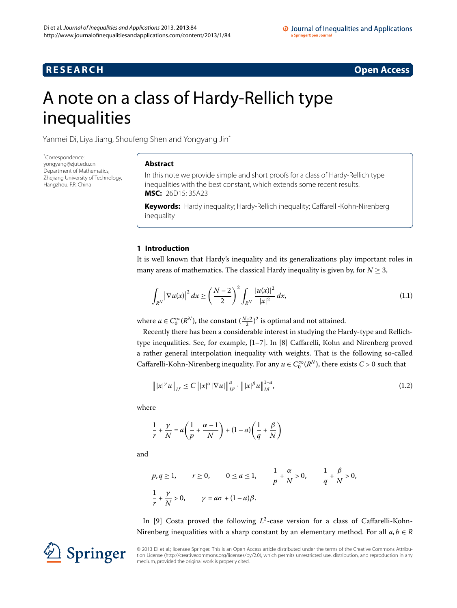# **R E S E A R C H Open Access**

# <span id="page-0-0"></span>A note on a class of Hardy-Rellich type inequalities

Yanmei Di, Liya Jiang, Shoufeng Shen and Yongyang Jin<sup>[\\*](#page-0-0)</sup>

\* Correspondence: [yongyang@zjut.edu.cn](mailto:yongyang@zjut.edu.cn) Department of Mathematics, Zhejiang University of Technology, Hangzhou, P.R. China

## **Abstract**

In this note we provide simple and short proofs for a class of Hardy-Rellich type inequalities with the best constant, which extends some recent results. **MSC:** 26D15; 35A23

**Keywords:** Hardy inequality; Hardy-Rellich inequality; Caffarelli-Kohn-Nirenberg inequality

# **1 Introduction**

It is well known that Hardy's inequality and its generalizations play important roles in many areas of mathematics. The classical Hardy inequality is given by, for  $N \geq 3$ ,

$$
\int_{R^N} \left| \nabla u(x) \right|^2 dx \ge \left( \frac{N-2}{2} \right)^2 \int_{R^N} \frac{|u(x)|^2}{|x|^2} dx, \tag{1.1}
$$

where  $u \in C_0^{\infty}(R^N)$ , the constant  $(\frac{N-2}{2})^2$  is optimal and not attained.

Recently there has been a considerable interest in studying the Hardy-type and Rellich-type inequalities. See, for example, [1[–](#page-4-0)7[\]](#page-4-1). In [\[](#page-5-0)8] Caffarelli, Kohn and Nirenberg proved a rather general interpolation inequality with weights. That is the following so-called Caffarelli-Kohn-Nirenberg inequality. For any  $u \in C_0^{\infty}(R^N)$ , there exists  $C > 0$  such that

$$
\| |x|^{\gamma} u \|_{L^r} \le C \| |x|^{\alpha} |\nabla u| \|_{L^p}^a \cdot \| |x|^{\beta} u \|_{L^q}^{1-a}, \tag{1.2}
$$

where

$$
\frac{1}{r} + \frac{\gamma}{N} = a\left(\frac{1}{p} + \frac{\alpha - 1}{N}\right) + (1 - a)\left(\frac{1}{q} + \frac{\beta}{N}\right)
$$

and

$$
p, q \ge 1, \qquad r \ge 0, \qquad 0 \le a \le 1, \qquad \frac{1}{p} + \frac{\alpha}{N} > 0, \qquad \frac{1}{q} + \frac{\beta}{N} > 0,
$$
\n
$$
\frac{1}{r} + \frac{\gamma}{N} > 0, \qquad \gamma = a\sigma + (1 - a)\beta.
$$

In [\[](#page-5-1)9] Costa proved the following  $L^2$ -case version for a class of Caffarelli-Kohn-Nirenberg inequalities with a sharp constant by an elementary method. For all  $a, b \in R$ 



© 2013 Di et al.; licensee Springer. This is an Open Access article distributed under the terms of the Creative Commons Attribution License ([http://creativecommons.org/licenses/by/2.0\)](http://creativecommons.org/licenses/by/2.0), which permits unrestricted use, distribution, and reproduction in any medium, provided the original work is properly cited.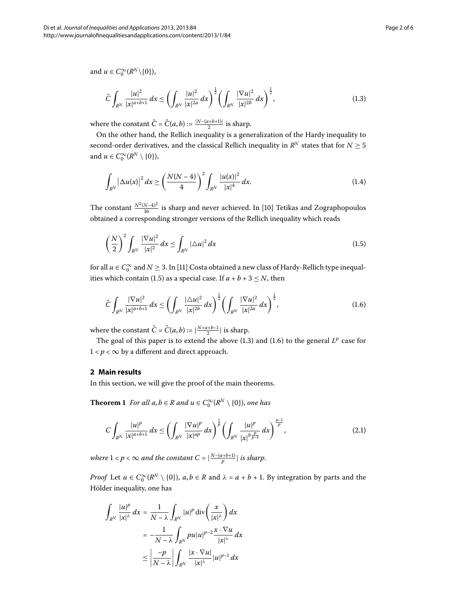and  $u \in C_0^{\infty}(R^N \setminus \{0\}),$ 

<span id="page-1-1"></span>
$$
\hat{C} \int_{R^N} \frac{|u|^2}{|x|^{a+b+1}} dx \le \left( \int_{R^N} \frac{|u|^2}{|x|^{2a}} dx \right)^{\frac{1}{2}} \left( \int_{R^N} \frac{|\nabla u|^2}{|x|^{2b}} dx \right)^{\frac{1}{2}},\tag{1.3}
$$

where the constant  $\hat{C} = \hat{C}(a, b) := \frac{|N - (a+b+1)|}{2}$  is sharp.

On the other hand, the Rellich inequality is a generalization of the Hardy inequality to second-order derivatives, and the classical Rellich inequality in  $R^N$  states that for  $N \geq 5$ and  $u \in C_0^{\infty}(R^N \setminus \{0\}),$ 

<span id="page-1-0"></span>
$$
\int_{R^N} \left| \Delta u(x) \right|^2 dx \ge \left( \frac{N(N-4)}{4} \right)^2 \int_{R^N} \frac{|u(x)|^2}{|x|^4} dx.
$$
 (1.4)

The constant  $\frac{N^2(N-4)^2}{16}$  is sharp and never achieved. In [10] Tetikas and Zographopoulos obtained a corresponding stronger versions of the Rellich inequality which reads

<span id="page-1-2"></span>
$$
\left(\frac{N}{2}\right)^2 \int_{R^N} \frac{|\nabla u|^2}{|x|^2} dx \le \int_{R^N} |\Delta u|^2 dx \tag{1.5}
$$

for all  $u \in C_0^{\infty}$  and  $N \geq 3$ . In [11[\]](#page-5-3) Costa obtained a new class of Hardy-Rellich type inequalities which contain (1.5) as a special case. If  $a + b + 3 \le N$ , then

$$
\hat{C} \int_{R^N} \frac{|\nabla u|^2}{|x|^{a+b+1}} dx \le \left( \int_{R^N} \frac{|\Delta u|^2}{|x|^{2b}} dx \right)^{\frac{1}{2}} \left( \int_{R^N} \frac{|\nabla u|^2}{|x|^{2a}} dx \right)^{\frac{1}{2}},\tag{1.6}
$$

where the constant  $\hat{C} = \hat{C}(a, b) := |\frac{N+a+b-1}{2}|$  is sharp.

The goal of this paper is to extend the above  $(1.3)$  and  $(1.6)$  to the general  $L^p$  case for  $1 < p < \infty$  by a different and direct approach.

### **2 Main results**

In this section, we will give the proof of the main theorems.

**Theorem 1** For all  $a, b \in R$  and  $u \in C_0^\infty(R^N \setminus \{0\})$ , one has

<span id="page-1-3"></span>
$$
C\int_{R^N}\frac{|u|^p}{|x|^{a+b+1}}\,dx\leq \left(\int_{R^N}\frac{|\nabla u|^p}{|x|^{ap}}\,dx\right)^{\frac{1}{p}}\left(\int_{R^N}\frac{|u|^p}{|x|^{\frac{p}{p-1}}}\,dx\right)^{\frac{p-1}{p}},\tag{2.1}
$$

where  $1 < p < \infty$  and the constant  $C = |\frac{N-(a+b+1)}{p}|$  is sharp.

*Proof* Let  $u \in C_0^{\infty}(R^N \setminus \{0\})$ ,  $a, b \in R$  and  $\lambda = a + b + 1$ . By integration by parts and the Hölder inequality, one has

$$
\int_{R^N} \frac{|u|^p}{|x|^\lambda} dx = \frac{1}{N-\lambda} \int_{R^N} |u|^p \operatorname{div} \left(\frac{x}{|x|^\lambda}\right) dx
$$

$$
= -\frac{1}{N-\lambda} \int_{R^N} p u |u|^{p-2} \frac{x \cdot \nabla u}{|x|^\lambda} dx
$$

$$
\leq \left| \frac{-p}{N-\lambda} \right| \int_{R^N} \frac{|x \cdot \nabla u|}{|x|^\lambda} |u|^{p-1} dx
$$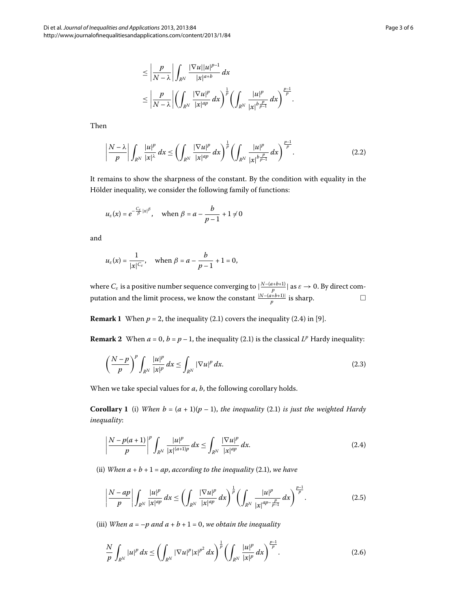$$
\leq \left|\frac{p}{N-\lambda}\right| \int_{R^N} \frac{|\nabla u| |u|^{p-1}}{|x|^{a+b}} dx
$$
  

$$
\leq \left|\frac{p}{N-\lambda}\right| \left(\int_{R^N} \frac{|\nabla u|^p}{|x|^{ap}} dx\right)^{\frac{1}{p}} \left(\int_{R^N} \frac{|u|^p}{|x|^{b\frac{p}{p-1}}} dx\right)^{\frac{p-1}{p}}.
$$

Then

$$
\left|\frac{N-\lambda}{p}\right| \int_{R^N} \frac{|u|^p}{|x|^\lambda} dx \le \left(\int_{R^N} \frac{|\nabla u|^p}{|x|^{ap}} dx\right)^{\frac{1}{p}} \left(\int_{R^N} \frac{|u|^p}{|x|^{b\frac{p}{p-1}}} dx\right)^{\frac{p-1}{p}}.
$$
 (2.2)

It remains to show the sharpness of the constant. By the condition with equality in the Hölder inequality, we consider the following family of functions:

$$
u_{\varepsilon}(x) = e^{-\frac{C_{\varepsilon}}{\beta}|x|^{\beta}}, \text{ when } \beta = a - \frac{b}{p-1} + 1 \neq 0
$$

and

$$
u_{\varepsilon}(x) = \frac{1}{|x|^{C_{\varepsilon}}}, \text{ when } \beta = a - \frac{b}{p-1} + 1 = 0,
$$

where  $C_\varepsilon$  is a positive number sequence converging to  $|\frac{N-(a+b+1)}{p}|$  as  $\varepsilon\to 0.$  By direct computation and the limit process, we know the constant  $\frac{|N-(a+b+1)|}{p}$  is sharp.

**Remark 1** When  $p = 2$ , the inequality (2.1) covers the inequality (2.4) in [9[\]](#page-5-1).

**Remark 2** When  $a = 0$ ,  $b = p - 1$ , the inequality (2.1) is the classical  $L^p$  Hardy inequality:

<span id="page-2-0"></span>
$$
\left(\frac{N-p}{p}\right)^p \int_{R^N} \frac{|u|^p}{|x|^p} dx \le \int_{R^N} |\nabla u|^p dx. \tag{2.3}
$$

When we take special values for *a*, *b*, the following corollary holds.

**Corollary 1** (i) *When b* =  $(a + 1)(p - 1)$ *, the inequality* (2.1) *is just the weighted Hardy inequality*:

$$
\left|\frac{N-p(a+1)}{p}\right|^p \int_{R^N} \frac{|u|^p}{|x|^{(a+1)p}} dx \le \int_{R^N} \frac{|\nabla u|^p}{|x|^{ap}} dx.
$$
 (2.4)

(ii) *When*  $a + b + 1 = ap$ , *according to the inequality* (2[.](#page-1-3)1), *we have* 

$$
\left|\frac{N-ap}{p}\right|\int_{R^N}\frac{|u|^p}{|x|^{ap}}\,dx\leq \left(\int_{R^N}\frac{|\nabla u|^p}{|x|^{ap}}\,dx\right)^{\frac{1}{p}}\left(\int_{R^N}\frac{|u|^p}{|x|^{ap-\frac{p}{p-1}}}\,dx\right)^{\frac{p-1}{p}}.\tag{2.5}
$$

(iii) *When*  $a = -p$  *and*  $a + b + 1 = 0$ *, we obtain the inequality* 

$$
\frac{N}{p}\int_{R^N}|u|^p\,dx\leq \left(\int_{R^N}|\nabla u|^p|x|^{p^2}\,dx\right)^{\frac{1}{p}}\left(\int_{R^N}\frac{|u|^p}{|x|^p}\,dx\right)^{\frac{p-1}{p}}.\tag{2.6}
$$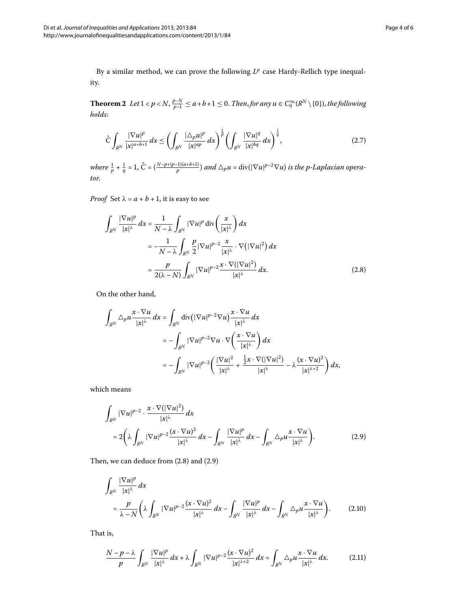By a similar method, we can prove the following *L<sup>p</sup>* case Hardy-Rellich type inequality.

**Theorem 2** Let  $1 < p < N$ ,  $\frac{p-N}{p-1} \le a+b+1 \le 0$ . Then, for any  $u \in C_0^\infty(R^N \setminus \{0\})$ , the following *holds*:

<span id="page-3-2"></span>
$$
\hat{C}\int_{R^N}\frac{|\nabla u|^p}{|x|^{a+b+1}}dx \le \left(\int_{R^N}\frac{|\Delta_p u|^p}{|x|^{ap}}dx\right)^{\frac{1}{p}}\left(\int_{R^N}\frac{|\nabla u|^q}{|x|^{bq}}dx\right)^{\frac{1}{q}},\tag{2.7}
$$

*where*  $\frac{1}{p} + \frac{1}{q} = 1$ ,  $\hat{C} = (\frac{N-p+(p-1)(a+b+1)}{p})$  and  $\triangle_p u = \text{div}(|\nabla u|^{p-2}\nabla u)$  is the p-Laplacian opera*tor*.

*Proof* Set  $\lambda = a + b + 1$ , it is easy to see

<span id="page-3-0"></span>
$$
\int_{R^N} \frac{|\nabla u|^p}{|x|^\lambda} dx = \frac{1}{N-\lambda} \int_{R^N} |\nabla u|^p \operatorname{div} \left(\frac{x}{|x|^\lambda}\right) dx
$$

$$
= -\frac{1}{N-\lambda} \int_{R^N} \frac{p}{2} |\nabla u|^{p-2} \frac{x}{|x|^\lambda} \cdot \nabla (|\nabla u|^2) dx
$$

$$
= \frac{p}{2(\lambda - N)} \int_{R^N} |\nabla u|^{p-2} \frac{x \cdot \nabla (|\nabla u|^2)}{|x|^\lambda} dx.
$$
(2.8)

On the other hand,

$$
\int_{R^N} \Delta_p u \frac{x \cdot \nabla u}{|x|^{\lambda}} dx = \int_{R^N} \text{div} \left( |\nabla u|^{p-2} \nabla u \right) \frac{x \cdot \nabla u}{|x|^{\lambda}} dx
$$
  

$$
= - \int_{R^N} |\nabla u|^{p-2} \nabla u \cdot \nabla \left( \frac{x \cdot \nabla u}{|x|^{\lambda}} \right) dx
$$
  

$$
= - \int_{R^N} |\nabla u|^{p-2} \left( \frac{|\nabla u|^2}{|x|^{\lambda}} + \frac{\frac{1}{2} x \cdot \nabla (|\nabla u|^2)}{|x|^{\lambda}} - \lambda \frac{(x \cdot \nabla u)^2}{|x|^{\lambda+2}} \right) dx,
$$

<span id="page-3-1"></span>which means

$$
\int_{R^N} |\nabla u|^{p-2} \cdot \frac{x \cdot \nabla (|\nabla u|^2)}{|x|^\lambda} dx
$$
\n
$$
= 2\left(\lambda \int_{R^N} |\nabla u|^{p-2} \frac{(x \cdot \nabla u)^2}{|x|^\lambda} dx - \int_{R^N} \frac{|\nabla u|^p}{|x|^\lambda} dx - \int_{R^N} \Delta_p u \frac{x \cdot \nabla u}{|x|^\lambda}\right).
$$
\n(2.9)

Then, we can deduce from  $(2.8)$  and  $(2.9)$ 

$$
\int_{R^N} \frac{|\nabla u|^p}{|x|^\lambda} dx
$$
\n
$$
= \frac{p}{\lambda - N} \left( \lambda \int_{R^N} |\nabla u|^{p-2} \frac{(x \cdot \nabla u)^2}{|x|^\lambda} dx - \int_{R^N} \frac{|\nabla u|^p}{|x|^\lambda} dx - \int_{R^N} \Delta_p u \frac{x \cdot \nabla u}{|x|^\lambda} \right).
$$
\n(2.10)

That is,

$$
\frac{N-p-\lambda}{p}\int_{R^N}\frac{|\nabla u|^p}{|x|^\lambda}\,dx+\lambda\int_{R^N}|\nabla u|^{p-2}\frac{(x\cdot\nabla u)^2}{|x|^{\lambda+2}}\,dx=\int_{R^N}\Delta_p u\frac{x\cdot\nabla u}{|x|^\lambda}\,dx.\tag{2.11}
$$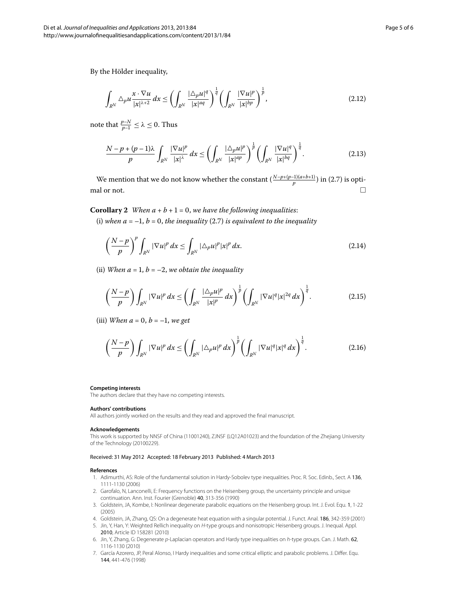By the Hölder inequality,

$$
\int_{R^N} \Delta_p u \frac{x \cdot \nabla u}{|x|^{\lambda+2}} dx \le \left( \int_{R^N} \frac{|\Delta_p u|^q}{|x|^{aq}} \right)^{\frac{1}{q}} \left( \int_{R^N} \frac{|\nabla u|^p}{|x|^{bp}} \right)^{\frac{1}{p}},\tag{2.12}
$$

note that  $\frac{p-N}{p-1} \leq \lambda \leq 0$ . Thus

$$
\frac{N-p+(p-1)\lambda}{p}\int_{R^N}\frac{|\nabla u|^p}{|x|^{\lambda}}dx \leq \left(\int_{R^N}\frac{|\Delta_p u|^p}{|x|^{ap}}\right)^{\frac{1}{p}}\left(\int_{R^N}\frac{|\nabla u|^q}{|x|^{bq}}\right)^{\frac{1}{q}}.\tag{2.13}
$$

We mention that we do not know whether the constant  $\left(\frac{N-p+(p-1)(a+b+1)}{p}\right)$  in (2.7) is optimal or not.

# **Corollary 2** *When*  $a + b + 1 = 0$ *, we have the following inequalities:*

(i) when  $a = -1$ ,  $b = 0$ , the inequality (2.7) is equivalent to the inequality

$$
\left(\frac{N-p}{p}\right)^p \int_{R^N} |\nabla u|^p dx \le \int_{R^N} |\Delta_p u|^p |x|^p dx.
$$
\n(2.14)

(ii) *When*  $a = 1$ *,*  $b = -2$ *, we obtain the inequality* 

$$
\left(\frac{N-p}{p}\right)\int_{R^N}|\nabla u|^p\,dx\leq \left(\int_{R^N}\frac{|\Delta_p u|^p}{|x|^p}\,dx\right)^{\frac{1}{p}}\left(\int_{R^N}|\nabla u|^q|x|^{2q}\,dx\right)^{\frac{1}{q}}.\tag{2.15}
$$

(iii) *When*  $a = 0$ ,  $b = -1$ , *we get* 

$$
\left(\frac{N-p}{p}\right)\int_{R^N}|\nabla u|^p\,dx\leq \left(\int_{R^N}|\Delta_p u|^p\,dx\right)^{\frac{1}{p}}\left(\int_{R^N}|\nabla u|^q|x|^q\,dx\right)^{\frac{1}{q}}.\tag{2.16}
$$

#### **Competing interests**

The authors declare that they have no competing interests.

#### <span id="page-4-0"></span>**Authors' contributions**

All authors jointly worked on the results and they read and approved the final manuscript.

#### **Acknowledgements**

This work is supported by NNSF of China (11001240), ZJNSF (LQ12A01023) and the foundation of the Zhejiang University of the Technology (20100229).

#### Received: 31 May 2012 Accepted: 18 February 2013 Published: 4 March 2013

#### <span id="page-4-1"></span>**References**

- 1. Adimurthi, AS: Role of the fundamental solution in Hardy-Sobolev type inequalities. Proc. R. Soc. Edinb., Sect. A 136, 1111-1130 (2006)
- 2. Garofalo, N, Lanconelli, E: Frequency functions on the Heisenberg group, the uncertainty principle and unique continuation. Ann. Inst. Fourier (Grenoble) 40, 313-356 (1990)
- 3. Goldstein, JA, Kombe, I: Nonlinear degenerate parabolic equations on the Heisenberg group. Int. J. Evol. Equ. 1, 1-22 (2005)
- 4. Goldstein, JA, Zhang, QS: On a degenerate heat equation with a singular potential. J. Funct. Anal. 186, 342-359 (2001)
- 5. Jin, Y, Han, Y: Weighted Rellich inequality on H-type groups and nonisotropic Heisenberg groups. J. Inequal. Appl. 2010, Article ID 158281 (2010)
- 6. Jin, Y, Zhang, G: Degenerate p-Laplacian operators and Hardy type inequalities on h-type groups. Can. J. Math. 62, 1116-1130 (2010)
- 7. García Azorero, JP, Peral Alonso, I Hardy inequalities and some critical elliptic and parabolic problems. J. Differ. Equ. 144, 441-476 (1998)